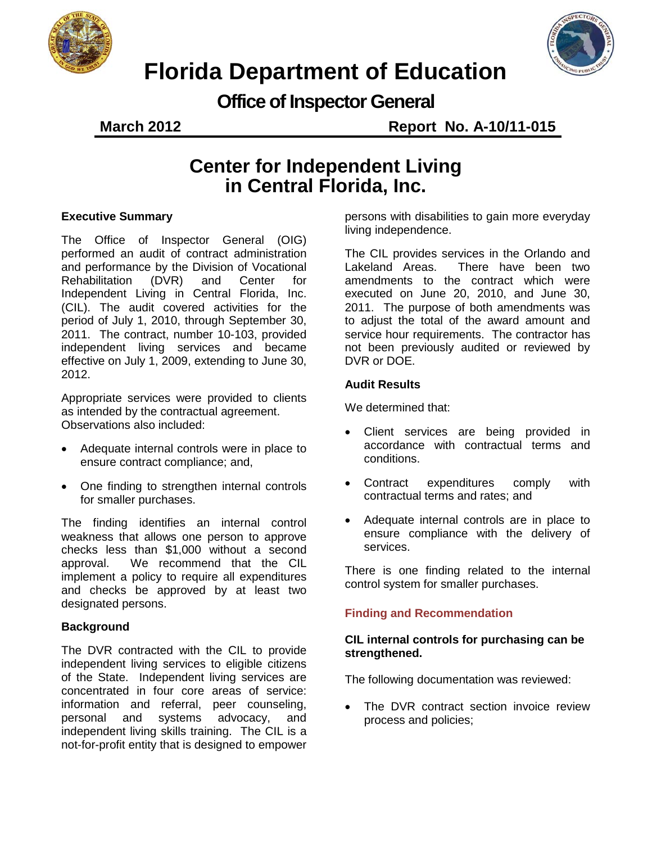



## **Florida Department of Education**

**Office of Inspector General**

**March 2012 Report No. A-10/11-015**

### **Center for Independent Living in Central Florida, Inc.**

#### **Executive Summary**

The Office of Inspector General (OIG) performed an audit of contract administration and performance by the Division of Vocational<br>Rehabilitation (DVR) and Center for Rehabilitation (DVR) and Center for Independent Living in Central Florida, Inc. (CIL). The audit covered activities for the period of July 1, 2010, through September 30, 2011. The contract, number 10-103, provided independent living services and became effective on July 1, 2009, extending to June 30, 2012.

Appropriate services were provided to clients as intended by the contractual agreement. Observations also included:

- Adequate internal controls were in place to ensure contract compliance; and,
- One finding to strengthen internal controls for smaller purchases.

The finding identifies an internal control weakness that allows one person to approve checks less than \$1,000 without a second approval. We recommend that the CIL implement a policy to require all expenditures and checks be approved by at least two designated persons.

#### **Background**

The DVR contracted with the CIL to provide independent living services to eligible citizens of the State. Independent living services are concentrated in four core areas of service: information and referral, peer counseling, personal and systems advocacy, and independent living skills training. The CIL is a not-for-profit entity that is designed to empower

persons with disabilities to gain more everyday living independence.

The CIL provides services in the Orlando and Lakeland Areas. There have been two amendments to the contract which were executed on June 20, 2010, and June 30, 2011. The purpose of both amendments was to adjust the total of the award amount and service hour requirements. The contractor has not been previously audited or reviewed by DVR or DOE.

#### **Audit Results**

We determined that:

- Client services are being provided in accordance with contractual terms and conditions.
- Contract expenditures comply with contractual terms and rates; and
- Adequate internal controls are in place to ensure compliance with the delivery of services.

There is one finding related to the internal control system for smaller purchases.

#### **Finding and Recommendation**

#### **CIL internal controls for purchasing can be strengthened.**

The following documentation was reviewed:

The DVR contract section invoice review process and policies;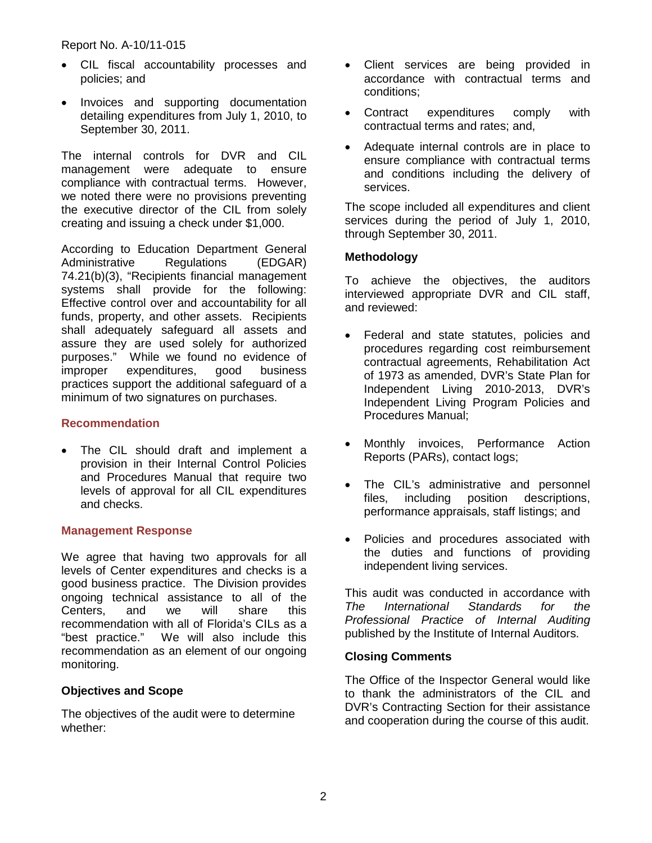#### Report No. A-10/11-015

- CIL fiscal accountability processes and policies; and
- Invoices and supporting documentation detailing expenditures from July 1, 2010, to September 30, 2011.

The internal controls for DVR and CIL management were adequate to ensure compliance with contractual terms. However, we noted there were no provisions preventing the executive director of the CIL from solely creating and issuing a check under \$1,000.

According to Education Department General Administrative Regulations (EDGAR) 74.21(b)(3), "Recipients financial management systems shall provide for the following: Effective control over and accountability for all funds, property, and other assets. Recipients shall adequately safeguard all assets and assure they are used solely for authorized purposes." While we found no evidence of improper expenditures, good business practices support the additional safeguard of a minimum of two signatures on purchases.

#### **Recommendation**

• The CIL should draft and implement a provision in their Internal Control Policies and Procedures Manual that require two levels of approval for all CIL expenditures and checks.

#### **Management Response**

We agree that having two approvals for all levels of Center expenditures and checks is a good business practice. The Division provides ongoing technical assistance to all of the Centers, and we will share this recommendation with all of Florida's CILs as a "best practice." We will also include this recommendation as an element of our ongoing monitoring.

#### **Objectives and Scope**

The objectives of the audit were to determine whether:

- Client services are being provided in accordance with contractual terms and conditions;
- Contract expenditures comply with contractual terms and rates; and,
- Adequate internal controls are in place to ensure compliance with contractual terms and conditions including the delivery of services.

The scope included all expenditures and client services during the period of July 1, 2010, through September 30, 2011.

#### **Methodology**

To achieve the objectives, the auditors interviewed appropriate DVR and CIL staff, and reviewed:

- Federal and state statutes, policies and procedures regarding cost reimbursement contractual agreements, Rehabilitation Act of 1973 as amended, DVR's State Plan for Independent Living 2010-2013, DVR's Independent Living Program Policies and Procedures Manual;
- Monthly invoices, Performance Action Reports (PARs), contact logs;
- The CIL's administrative and personnel files, including position descriptions, performance appraisals, staff listings; and
- Policies and procedures associated with the duties and functions of providing independent living services.

This audit was conducted in accordance with *The International Standards for the Professional Practice of Internal Auditing*  published by the Institute of Internal Auditors.

#### **Closing Comments**

The Office of the Inspector General would like to thank the administrators of the CIL and DVR's Contracting Section for their assistance and cooperation during the course of this audit.